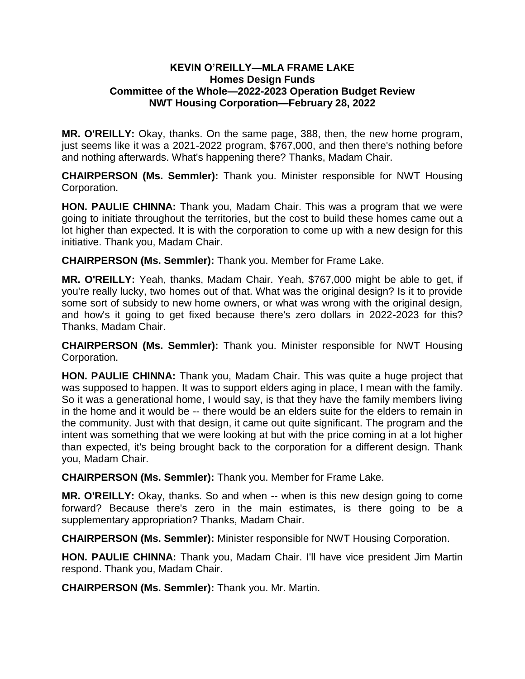## **KEVIN O'REILLY—MLA FRAME LAKE Homes Design Funds Committee of the Whole—2022-2023 Operation Budget Review NWT Housing Corporation—February 28, 2022**

**MR. O'REILLY:** Okay, thanks. On the same page, 388, then, the new home program, just seems like it was a 2021-2022 program, \$767,000, and then there's nothing before and nothing afterwards. What's happening there? Thanks, Madam Chair.

**CHAIRPERSON (Ms. Semmler):** Thank you. Minister responsible for NWT Housing Corporation.

**HON. PAULIE CHINNA:** Thank you, Madam Chair. This was a program that we were going to initiate throughout the territories, but the cost to build these homes came out a lot higher than expected. It is with the corporation to come up with a new design for this initiative. Thank you, Madam Chair.

**CHAIRPERSON (Ms. Semmler):** Thank you. Member for Frame Lake.

**MR. O'REILLY:** Yeah, thanks, Madam Chair. Yeah, \$767,000 might be able to get, if you're really lucky, two homes out of that. What was the original design? Is it to provide some sort of subsidy to new home owners, or what was wrong with the original design, and how's it going to get fixed because there's zero dollars in 2022-2023 for this? Thanks, Madam Chair.

**CHAIRPERSON (Ms. Semmler):** Thank you. Minister responsible for NWT Housing Corporation.

**HON. PAULIE CHINNA:** Thank you, Madam Chair. This was quite a huge project that was supposed to happen. It was to support elders aging in place, I mean with the family. So it was a generational home, I would say, is that they have the family members living in the home and it would be -- there would be an elders suite for the elders to remain in the community. Just with that design, it came out quite significant. The program and the intent was something that we were looking at but with the price coming in at a lot higher than expected, it's being brought back to the corporation for a different design. Thank you, Madam Chair.

**CHAIRPERSON (Ms. Semmler):** Thank you. Member for Frame Lake.

**MR. O'REILLY:** Okay, thanks. So and when -- when is this new design going to come forward? Because there's zero in the main estimates, is there going to be a supplementary appropriation? Thanks, Madam Chair.

**CHAIRPERSON (Ms. Semmler):** Minister responsible for NWT Housing Corporation.

**HON. PAULIE CHINNA:** Thank you, Madam Chair. I'll have vice president Jim Martin respond. Thank you, Madam Chair.

**CHAIRPERSON (Ms. Semmler):** Thank you. Mr. Martin.